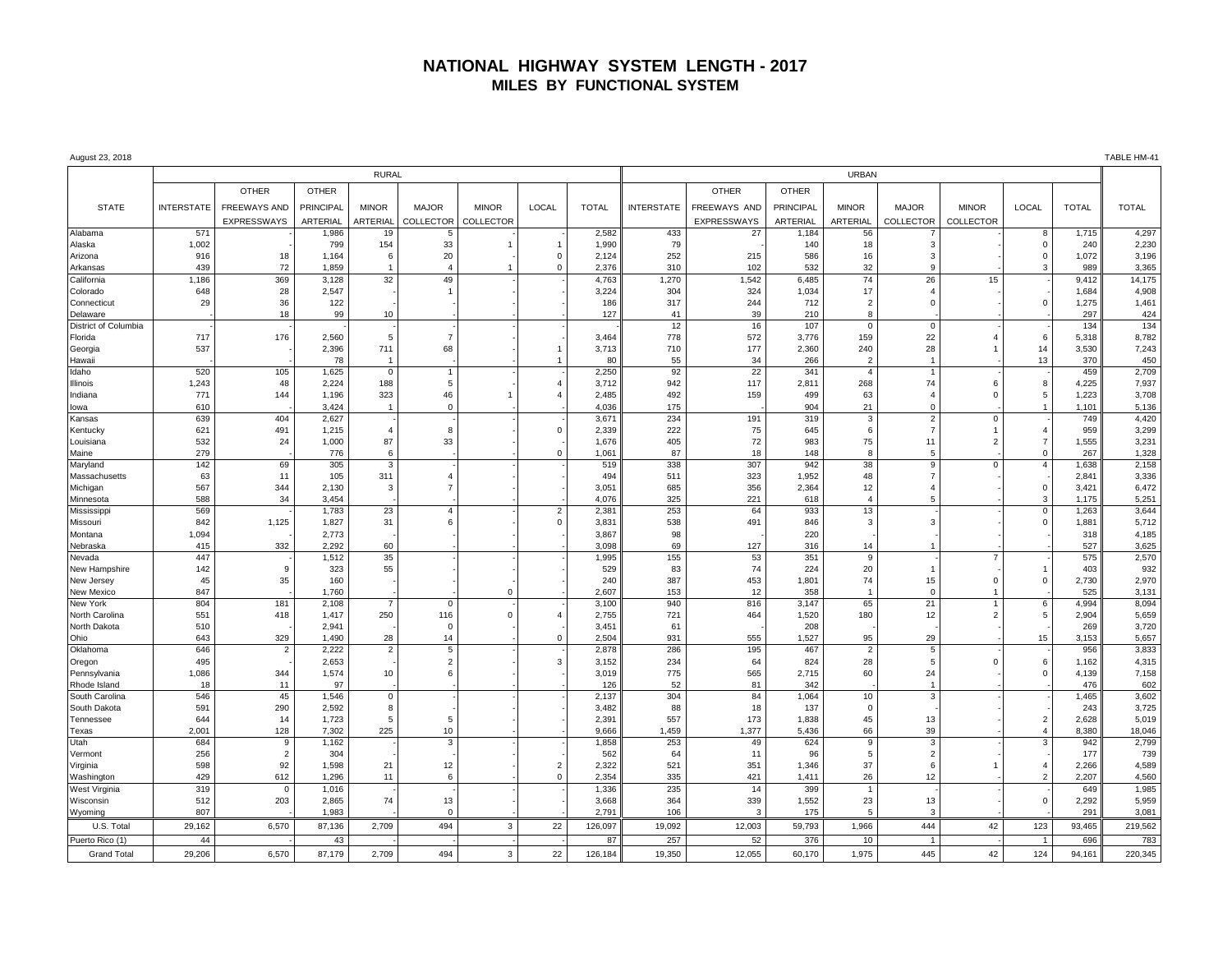## **NATIONAL HIGHWAY SYSTEM LENGTH - 2017 MILES BY FUNCTIONAL SYSTEM**

| August 23, 2018                |                   |                |                |                |                |                |                               |                |                   |               |                  |                      |                               |                |                     |              | TABLE HM-41    |
|--------------------------------|-------------------|----------------|----------------|----------------|----------------|----------------|-------------------------------|----------------|-------------------|---------------|------------------|----------------------|-------------------------------|----------------|---------------------|--------------|----------------|
|                                | <b>RURAL</b>      |                |                |                |                |                |                               |                | <b>URBAN</b>      |               |                  |                      |                               |                |                     |              |                |
|                                |                   | <b>OTHER</b>   | <b>OTHER</b>   |                |                |                |                               |                |                   | <b>OTHER</b>  | <b>OTHER</b>     |                      |                               |                |                     |              |                |
| <b>STATE</b>                   | <b>INTERSTATE</b> | FREEWAYS AND   | PRINCIPAL      | <b>MINOR</b>   | <b>MAJOR</b>   | <b>MINOR</b>   | LOCAL                         | <b>TOTAL</b>   | <b>INTERSTATE</b> | FREEWAYS AND  | <b>PRINCIPAL</b> | <b>MINOR</b>         | <b>MAJOR</b>                  | <b>MINOR</b>   | LOCAL               | <b>TOTAL</b> | <b>TOTAL</b>   |
|                                |                   | EXPRESSWAYS    | ARTERIAL       | ARTERIAL       | COLLECTOR      | COLLECTOR      |                               |                |                   | EXPRESSWAYS   | ARTERIAL         | ARTERIAL             | <b>COLLECTOR</b>              | COLLECTOR      |                     |              |                |
| Alabama                        | 571               |                | 1,986          | 19             |                |                |                               | 2,582          | 433               | 27            | 1,184            | 56                   |                               |                | 8                   | 1,715        | 4,297          |
| Alaska                         | 1,002             |                | 799            | 154            | 33             | $\overline{1}$ | $\mathbf{1}$                  | 1,990          | 79                |               | 140              | 18                   | 3                             |                | $\mathbf 0$         | 240          | 2,230          |
| Arizona                        | 916               | 18             | 1,164          | 6              | 20             |                | $\mathbf 0$                   | 2,124          | 252               | 215           | 586              | 16                   | 3                             |                | $\mathbf 0$         | 1,072        | 3,196          |
| Arkansas                       | 439               | 72             | 1,859          | $\mathbf{1}$   | $\overline{4}$ |                | $\mathbf 0$                   | 2,376          | 310               | 102           | 532              | 32                   | 9                             |                | 3                   | 989          | 3,365          |
| California                     | 1,186             | 369            | 3,128          | 32             | 49             |                |                               | 4,763          | 1,270             | 1,542         | 6,485            | 74                   | 26                            | 15             |                     | 9,412        | 14,175         |
| Colorado                       | 648<br>29         | 28<br>36       | 2,547          |                |                |                |                               | 3,224          | 304<br>317        | 324<br>244    | 1,034            | 17<br>$\overline{2}$ | $\overline{4}$<br>$\mathbf 0$ |                | $\mathbf 0$         | 1,684        | 4,908<br>1,461 |
| Connecticut<br>Delaware        |                   | 18             | 122<br>99      | 10             |                |                |                               | 186<br>127     | 41                | 39            | 712<br>210       | 8                    |                               |                |                     | 1,275<br>297 | 424            |
| District of Columbia           |                   |                |                |                |                |                |                               |                | 12                | 16            | 107              | $\mathbf 0$          | $\mathbf 0$                   |                |                     | 134          | 134            |
| Florida                        | 717               | 176            | 2,560          | 5              | $\overline{7}$ |                |                               | 3,464          | 778               | 572           | 3,776            | 159                  | 22                            | $\overline{4}$ | 6                   | 5,318        | 8,782          |
| Georgia                        | 537               |                | 2,396          | 711            | 68             |                | $\mathbf{1}$                  | 3,713          | 710               | 177           | 2,360            | 240                  | 28                            |                | 14                  | 3,530        | 7,243          |
| Hawaii                         |                   |                | 78             | $\overline{1}$ |                |                | $\overline{1}$                | 80             | 55                | 34            | 266              | $\overline{2}$       | $\overline{1}$                |                | 13                  | 370          | 450            |
| Idaho                          | 520               | 105            | 1,625          | $\mathbf 0$    | $\overline{1}$ |                |                               | 2,250          | 92                | 22            | 341              | $\overline{4}$       | $\overline{1}$                |                |                     | 459          | 2,709          |
| Illinois                       | 1,243             | 48             | 2,224          | 188            | 5              |                | $\overline{4}$                | 3,712          | 942               | 117           | 2,811            | 268                  | 74                            | 6              | 8                   | 4,225        | 7,937          |
| Indiana                        | 771               | 144            | 1,196          | 323            | 46             |                | $\overline{4}$                | 2,485          | 492               | 159           | 499              | 63                   | $\overline{4}$                | $\Omega$       | 5                   | 1,223        | 3,708          |
| lowa                           | 610               |                | 3,424          | $\mathbf{1}$   | $\mathbf 0$    |                |                               | 4,036          | 175               |               | 904              | 21                   | $\mathbf 0$                   |                | $\mathbf{1}$        | 1,101        | 5,136          |
| Kansas                         | 639               | 404            | 2,627          |                |                |                |                               | 3,671          | 234               | 191           | 319              | 3                    | $\overline{2}$                | $\mathbf 0$    |                     | 749          | 4,420          |
| Kentucky                       | 621               | 491            | 1,215          | $\overline{4}$ | 8              |                | $\mathbf 0$                   | 2,339          | 222               | 75            | 645              | 6                    | $\overline{7}$                | $\overline{1}$ | $\overline{4}$      | 959          | 3,299          |
| Louisiana                      | 532               | 24             | 1,000          | 87             | 33             |                |                               | 1,676          | 405               | 72            | 983              | 75                   | 11                            | $\overline{2}$ | $\overline{7}$      | 1,555        | 3,231          |
| Maine                          | 279               |                | 776            | 6              |                |                | $\Omega$                      | 1,061          | 87                | 18            | 148              | 8                    | 5                             |                | $\Omega$            | 267          | 1,328          |
| Maryland                       | 142               | 69             | 305            | $\mathbf{3}$   |                |                |                               | 519            | 338               | 307           | 942              | 38                   | 9                             | $\Omega$       | $\overline{4}$      | 1,638        | 2,158          |
| Massachusetts                  | 63                | 11             | 105            | 311            | $\overline{4}$ |                |                               | 494            | 511               | 323           | 1,952            | 48                   | $\overline{7}$                |                |                     | 2,841        | 3,336          |
| Michigan                       | 567               | 344            | 2,130          | 3              | $\overline{7}$ |                |                               | 3,051          | 685               | 356           | 2,364            | 12                   | $\overline{4}$                |                | $\mathbf 0$         | 3,421        | 6,472          |
| Minnesota                      | 588<br>569        | 34             | 3.454          |                | $\overline{4}$ |                |                               | 4.076          | 325<br>253        | 221           | 618<br>933       |                      | 5                             |                | 3<br>$\overline{0}$ | 1.175        | 5,251<br>3,644 |
| Mississippi<br>Missouri        | 842               |                | 1,783          | 23<br>31       | -6             |                | $\overline{2}$<br>$\mathbf 0$ | 2,381<br>3,831 | 538               | 64            | 846              | 13<br>3              | 3                             |                | $\mathbf 0$         | 1,263        | 5,712          |
| Montana                        | 1,094             | 1,125          | 1,827<br>2,773 |                |                |                |                               | 3,867          | 98                | 491           | 220              |                      |                               |                |                     | 1,881<br>318 | 4,185          |
| Nebraska                       | 415               | 332            | 2,292          | 60             |                |                |                               | 3,098          | 69                | 127           | 316              | 14                   |                               |                |                     | 527          | 3,625          |
| Nevada                         | 447               |                | 1,512          | 35             |                |                |                               | 1,995          | 155               | 53            | 351              | 9                    |                               | $\overline{7}$ |                     | 575          | 2,570          |
| New Hampshire                  | 142               | 9              | 323            | 55             |                |                |                               | 529            | 83                | 74            | 224              | 20                   | $\mathbf{1}$                  |                | $\mathbf{1}$        | 403          | 932            |
| New Jersey                     | 45                | 35             | 160            |                |                |                |                               | 240            | 387               | 453           | 1,801            | 74                   | 15                            | $\overline{0}$ | $\mathbf 0$         | 2,730        | 2,970          |
| New Mexico                     | 847               |                | 1,760          |                |                | $\overline{0}$ |                               | 2.607          | 153               | 12            | 358              | $\overline{1}$       | $\overline{0}$                | $\overline{1}$ |                     | 525          | 3,131          |
| New York                       | 804               | 181            | 2,108          | $\overline{7}$ | $\Omega$       |                |                               | 3,100          | 940               | 816           | 3,147            | 65                   | 21                            |                | 6                   | 4,994        | 8,094          |
| North Carolina                 | 551               | 418            | 1,417          | 250            | 116            | $\mathbf 0$    | 4                             | 2,755          | 721               | 464           | 1,520            | 180                  | 12                            | $\overline{2}$ | 5                   | 2,904        | 5,659          |
| North Dakota                   | 510               |                | 2,941          |                | $\Omega$       |                |                               | 3,451          | 61                |               | 208              |                      |                               |                |                     | 269          | 3,720          |
| Ohio                           | 643               | 329            | 1,490          | 28             | 14             |                | $\Omega$                      | 2.504          | 931               | 555           | 1,527            | 95                   | 29                            |                | 15                  | 3,153        | 5,657          |
| Oklahoma                       | 646               | $\overline{2}$ | 2,222          | $\overline{2}$ | 5              |                |                               | 2,878          | 286               | 195           | 467              | $\overline{2}$       | 5                             |                |                     | 956          | 3,833          |
| Oregon                         | 495               |                | 2,653          |                | $\overline{2}$ |                | $\mathbf 3$                   | 3,152          | 234               | 64            | 824              | 28                   | $\sqrt{5}$                    | $\Omega$       | 6                   | 1,162        | 4,315          |
| Pennsylvania                   | 1,086             | 344            | 1,574          | 10             | 6              |                |                               | 3,019          | 775               | 565           | 2,715            | 60                   | 24                            |                | $\mathbf 0$         | 4,139        | 7,158          |
| Rhode Island                   | 18<br>546         | 11<br>45       | 97             | $\mathbf 0$    |                |                |                               | 126<br>2,137   | 52<br>304         | 81<br>84      | 342              |                      | $\overline{1}$<br>3           |                |                     | 476<br>1,465 | 602<br>3,602   |
| South Carolina<br>South Dakota | 591               | 290            | 1,546<br>2,592 | 8              |                |                |                               | 3,482          | 88                | 18            | 1,064<br>137     | 10<br>$\Omega$       |                               |                |                     | 243          | 3,725          |
| Tennessee                      | 644               | 14             | 1,723          | 5              | 5              |                |                               | 2,391          | 557               | 173           | 1,838            | 45                   | 13                            |                | $\overline{2}$      | 2,628        | 5,019          |
| Texas                          | 2,001             | 128            | 7,302          | 225            | 10             |                |                               | 9,666          | 1,459             | 1,377         | 5,436            | 66                   | 39                            |                | $\overline{4}$      | 8,380        | 18,046         |
| Utah                           | 684               | 9              | 1,162          |                | 3              |                |                               | 1,858          | 253               | 49            | 624              | 9                    | 3                             |                | 3                   | 942          | 2,799          |
| Vermont                        | 256               | $\overline{2}$ | 304            |                |                |                |                               | 562            | 64                | 11            | 96               | -5                   | $\overline{2}$                |                |                     | 177          | 739            |
| Virginia                       | 598               | 92             | 1,598          | 21             | 12             |                | $\overline{2}$                | 2,322          | 521               | 351           | 1,346            | 37                   | 6                             |                | $\overline{4}$      | 2,266        | 4,589          |
| Washington                     | 429               | 612            | 1,296          | 11             | 6              |                | $\mathbf 0$                   | 2,354          | 335               | 421           | 1,411            | 26                   | 12                            |                | $\overline{2}$      | 2,207        | 4,560          |
| West Virginia                  | 319               | 0              | 1,016          |                |                |                |                               | 1,336          | 235               | 14            | 399              |                      |                               |                |                     | 649          | 1,985          |
| Wisconsin                      | 512               | 203            | 2,865          | 74             | 13             |                |                               | 3,668          | 364               | 339           | 1,552            | 23                   | 13                            |                | $\mathsf 0$         | 2,292        | 5,959          |
| Wyoming                        | 807               |                | 1,983          |                | $\Omega$       |                |                               | 2,791          | 106               | $\mathcal{R}$ | 175              | -5                   | 3                             |                |                     | 291          | 3,081          |
| U.S. Total                     | 29,162            | 6,570          | 87,136         | 2,709          | 494            | $\overline{3}$ | 22                            | 126,097        | 19,092            | 12,003        | 59,793           | 1,966                | 444                           | 42             | 123                 | 93,465       | 219,562        |
| Puerto Rico (1)                | 44                |                | 43             |                |                |                |                               | 87             | 257               | 52            | 376              | 10                   |                               |                | $\overline{1}$      | 696          | 783            |
| <b>Grand Total</b>             | 29.206            | 6,570          | 87,179         | 2,709          | 494            | $\overline{3}$ | 22                            | 126,184        | 19,350            | 12,055        | 60.170           | 1,975                | 445                           | 42             | 124                 | 94,161       | 220,345        |